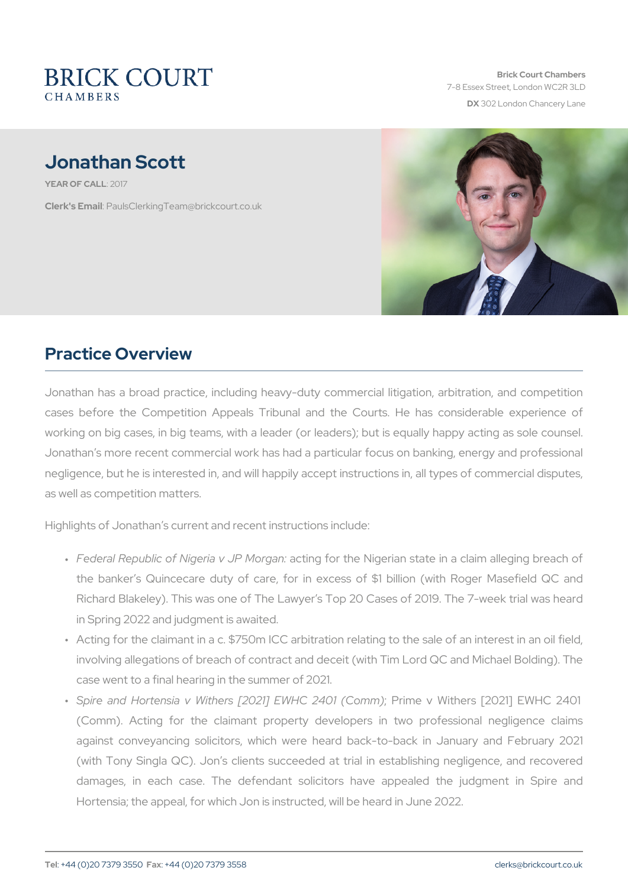Brick Court Chambers 7-8 Essex Street, London WC2 DX 302 London Chancery La

# Jonathan Scott

YEAR OF CA 210 17

Clerk's E. Phanull s Clerking Team @brickcourt.co.uk

### Practice Overview

Jonathan has a broad practice, including heavy-duty commercial liti cases before the Competition Appeals Tribunal and the Courts. I working on big cases, in big teams, with a leader (or leaders); but i Jonathan s more recent commercial work has had a particular focus on negligence, but he is interested in, and will happily accept instructio as well as competition matters.

Highlights of Jonathan s current and recent instructions include:

- " Federal Republic of Nigeriæctvin.ghPfoMortganNigerian state in a claim the banker s Quincecare duty of care, for in excess of \$1 bil Richard Blakeley). This was one of The Lawyer s Top 20 Cases o in Spring 2022 and judgment is awaited.
- " Acting for the claimant in a c. \$750m ICC arbitration relating to t involving allegations of breach of contract and deceit (with Tim L case went to a final hearing in the summer of 2021.
- " Spire and Hortensia v Withers [202;1]PrEinWeHOv 2M4i0the(Co[m2m02|1] E (Comm). Acting for the claimant property developers in two against conveyancing solicitors, which were heard back-to-bac (with Tony Singla QC). Jon s clients succeeded at trial in esta damages, in each case. The defendant solicitors have appe Hortensia; the appeal, for which Jon is instructed, will be heard in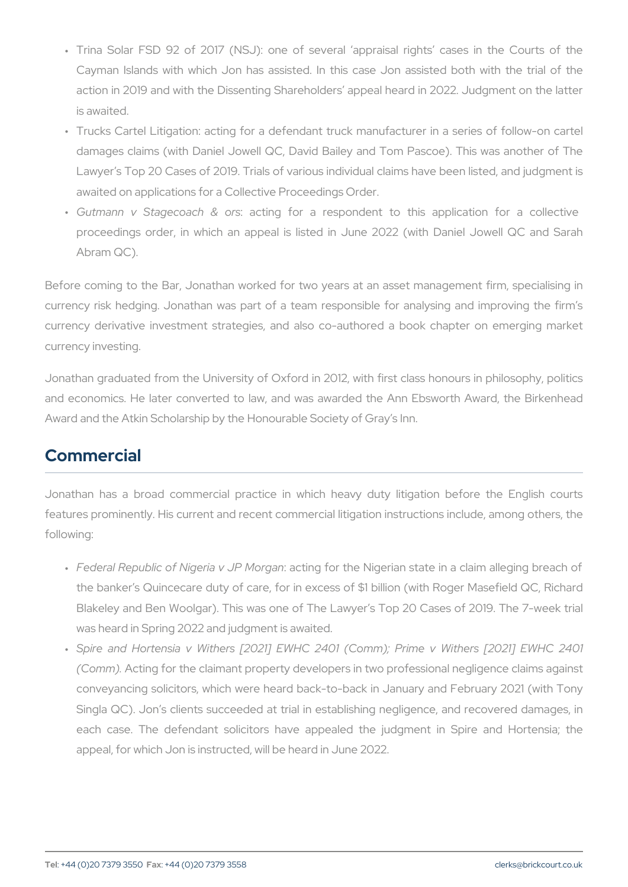- " Trina Solar FSD 92 of 2017 (NSJ): one of several appraisal Cayman Islands with which Jon has assisted. In this case Jon action in 2019 and with the Dissenting Shareholders appeal hear is awaited.
- " Trucks Cartel Litigation: acting for a defendant truck manufactu damages claims (with Daniel Jowell QC, David Bailey and Tom Lawyer s Top 20 Cases of 2019. Trials of various individual claim awaited on applications for a Collective Proceedings Order.
- " Gutmann v Stagecpa antin&g of rosr a respondent to this application for a collective soft and the collective proceedings order, in which an appeal is listed in June 2022 Abram QC).

Before coming to the Bar, Jonathan worked for two years at an asset currency risk hedging. Jonathan was part of a team responsible fo currency derivative investment strategies, and also co-authored a currency investing.

Jonathan graduated from the University of Oxford in 2012, with first and economics. He later converted to law, and was awarded the Ar Award and the Atkin Scholarship by the Honourable Society of Gray s

#### Commercial

Jonathan has a broad commercial practice in which heavy duty features prominently. His current and recent commercial litigation ins following:

- " Federal Republic of Nigeriac $\bm$ vinJo $\bm{P}$  fMonortghæn Nigerian state in a claim the banker s Quincecare duty of care, for in excess of \$1 billion Blakeley and Ben Woolgar). This was one of The Lawyer s Top 2 was heard in Spring 2022 and judgment is awaited.
- " Spire and Hortensia v Withers [2021] EWHC 2401 (Comm); Pr (CommA.cting for the claimant property developers in two profession conveyancing solicitors, which were heard back-to-back in Janua Singla QC). Jon s clients succeeded at trial in establishing neg each case. The defendant solicitors have appealed the judgr appeal, for which Jon is instructed, will be heard in June 2022.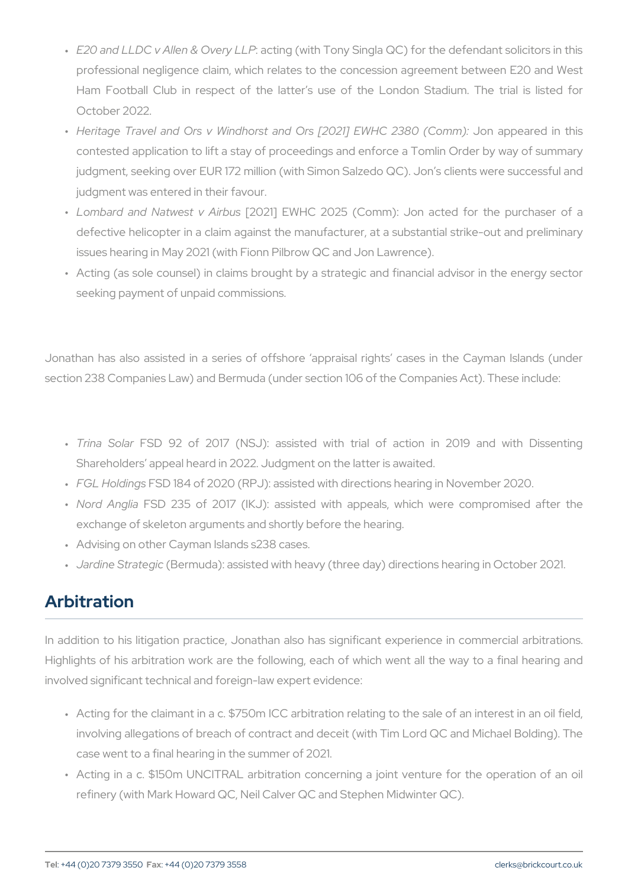- " E20 and LLDC v Allen: & a Cotivregy (will the Tony Singla QC) for the defend professional negligence claim, which relates to the concession a Ham Football Club in respect of the latter s use of the Lond October 2022.
- " Heritage Travel and Ors v Windhorst and Ors J[20102|aplip|EaWHe6C i2n3 contested application to lift a stay of proceedings and enforce a judgment, seeking over EUR 172 million (with Simon Salzedo QC). judgment was entered in their favour.
- " Lombard and Natwe \$2021 AiEBMUNG 2025 (Comm): Jon acted for defective helicopter in a claim against the manufacturer, at a sul issues hearing in May 2021 (with Fionn Pilbrow QC and Jon Lawrence).
- " Acting (as sole counsel) in claims brought by a strategic and fin seeking payment of unpaid commissions.

Jonathan has also assisted in a series of offshore appraisal right section 238 Companies Law) and Bermuda (under section 106 of the C

- " Trina ScH&D 92 of 2017 (NSJ): assisted with trial of actio Shareholders appeal heard in 2022. Judgment on the latter is awaited.
- " FGL Hold Fins of 2020 (RPJ): assisted with directions hearing in
- " Nord AngFISaD 235 of 2017 (IKJ): assisted with appeals, which exchange of skeleton arguments and shortly before the hearing.
- " Advising on other Cayman Islands s238 cases.
- " Jardine Str(aBegmouda): assisted with heavy (three day) directions h

#### Arbitration

In addition to his litigation practice, Jonathan also has significant Highlights of his arbitration work are the following, each of which w involved significant technical and foreign-law expert evidence:

- " Acting for the claimant in a c. \$750m ICC arbitration relating to t involving allegations of breach of contract and deceit (with Tim L case went to a final hearing in the summer of 2021.
- " Acting in a c. \$150m UNCITRAL arbitration concerning a joint v refinery (with Mark Howard QC, Neil Calver QC and Stephen Midwi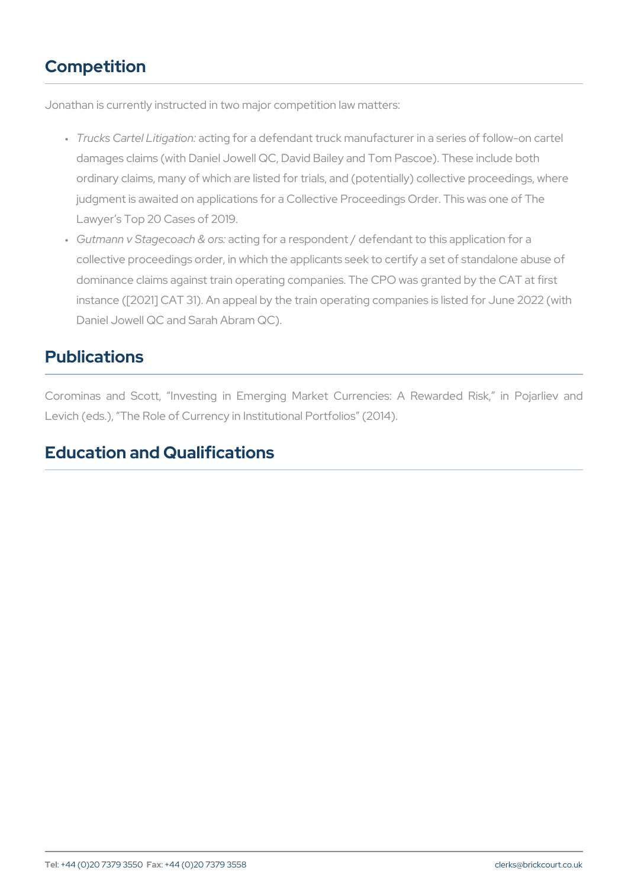# Competition

Jonathan is currently instructed in two major competition law matters:

- " Trucks Cartel Latcity iantgiofno:r a defendant truck manufacturer in a serie damages claims (with Daniel Jowell QC, David Bailey and Tom Pas ordinary claims, many of which are listed for trials, and (potential judgment is awaited on applications for a Collective Proceedings Order. Lawyer s Top 20 Cases of 2019.
- " Gutmann v Stagecœ acot hin & foors: a respondent / defendant to this appli collective proceedings order, in which the applicants seek to certi dominance claims against train operating companies. The CPO was instance ( $[2021]$  CAT 31). An appeal by the train operating compar Daniel Jowell QC and Sarah Abram QC).

## Publications

Corominas and Scott, Investing in Emerging Market Currencies: Levich (eds.), The Role of Currency in Institutional Portfolios (2014)

### Education and Qualifications